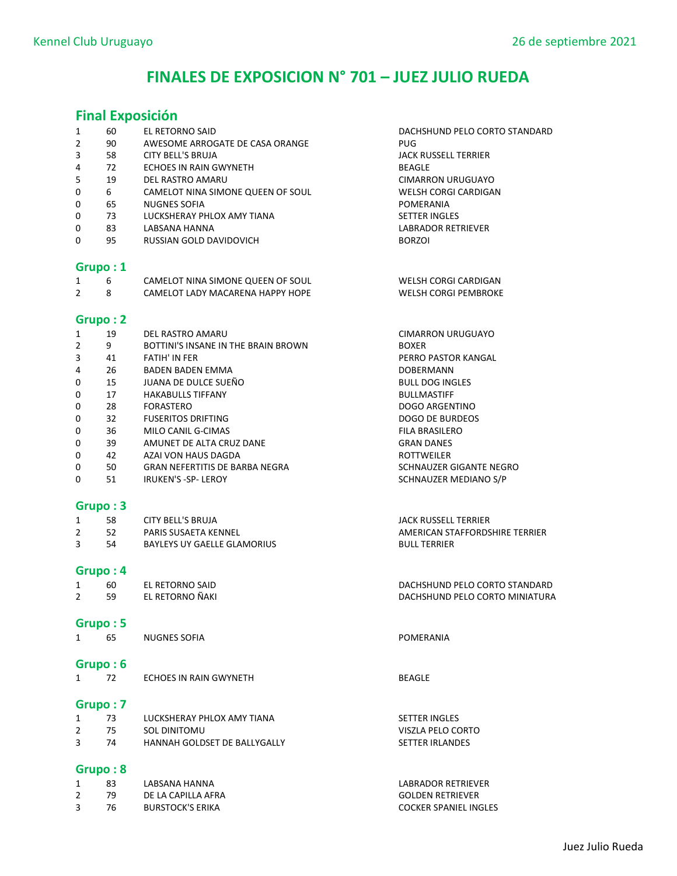# FINALES DE EXPOSICION N° 701 – JUEZ JULIO RUEDA

### Final Exposición

|                |          | <b>Final Exposicion</b>             |                                |
|----------------|----------|-------------------------------------|--------------------------------|
| 1              | 60       | EL RETORNO SAID                     | DACHSHUND PELO CORTO STANDARD  |
| 2              | 90       | AWESOME ARROGATE DE CASA ORANGE     | <b>PUG</b>                     |
| 3              | 58       | <b>CITY BELL'S BRUJA</b>            | <b>JACK RUSSELL TERRIER</b>    |
| 4              | 72       | ECHOES IN RAIN GWYNETH              | <b>BEAGLE</b>                  |
| 5              | 19       | DEL RASTRO AMARU                    | <b>CIMARRON URUGUAYO</b>       |
| 0              | 6        | CAMELOT NINA SIMONE QUEEN OF SOUL   | <b>WELSH CORGI CARDIGAN</b>    |
| 0              | 65       | <b>NUGNES SOFIA</b>                 | POMERANIA                      |
| 0              | 73       | LUCKSHERAY PHLOX AMY TIANA          | <b>SETTER INGLES</b>           |
| 0              | 83       | LABSANA HANNA                       | <b>LABRADOR RETRIEVER</b>      |
| 0              | 95       | RUSSIAN GOLD DAVIDOVICH             | <b>BORZOI</b>                  |
|                | Grupo: 1 |                                     |                                |
| 1              | 6        | CAMELOT NINA SIMONE QUEEN OF SOUL   | WELSH CORGI CARDIGAN           |
| $\overline{2}$ | 8        | CAMELOT LADY MACARENA HAPPY HOPE    | <b>WELSH CORGI PEMBROKE</b>    |
|                | Grupo: 2 |                                     |                                |
| 1              | 19       | DEL RASTRO AMARU                    | <b>CIMARRON URUGUAYO</b>       |
| $\overline{2}$ | 9        | BOTTINI'S INSANE IN THE BRAIN BROWN | <b>BOXER</b>                   |
| 3              | 41       | <b>FATIH' IN FER</b>                | PERRO PASTOR KANGAL            |
| 4              | 26       | <b>BADEN BADEN EMMA</b>             | DOBERMANN                      |
| 0              | 15       | JUANA DE DULCE SUEÑO                | <b>BULL DOG INGLES</b>         |
| 0              | 17       | <b>HAKABULLS TIFFANY</b>            | <b>BULLMASTIFF</b>             |
| 0              | 28       | <b>FORASTERO</b>                    | <b>DOGO ARGENTINO</b>          |
| 0              | 32       | <b>FUSERITOS DRIFTING</b>           | <b>DOGO DE BURDEOS</b>         |
| 0              | 36       | MILO CANIL G-CIMAS                  | <b>FILA BRASILERO</b>          |
| 0              | 39       | AMUNET DE ALTA CRUZ DANE            | <b>GRAN DANES</b>              |
| 0              | 42       | AZAI VON HAUS DAGDA                 | <b>ROTTWEILER</b>              |
| 0              | 50       | GRAN NEFERTITIS DE BARBA NEGRA      | SCHNAUZER GIGANTE NEGRO        |
| 0              | 51       | <b>IRUKEN'S -SP- LEROY</b>          | SCHNAUZER MEDIANO S/P          |
|                | Grupo: 3 |                                     |                                |
| 1              | 58       | <b>CITY BELL'S BRUJA</b>            | <b>JACK RUSSELL TERRIER</b>    |
| $\overline{2}$ | 52       | PARIS SUSAETA KENNEL                | AMERICAN STAFFORDSHIRE TERRIER |
| 3              | 54       | <b>BAYLEYS UY GAELLE GLAMORIUS</b>  | <b>BULL TERRIER</b>            |
|                | Grupo: 4 |                                     |                                |
| 1              | 60       | EL RETORNO SAID                     | DACHSHUND PELO CORTO STANDARD  |
| $\overline{2}$ | 59       | EL RETORNO ÑAKI                     | DACHSHUND PELO CORTO MINIATURA |
|                | Grupo: 5 |                                     |                                |
| $\mathbf{1}$   | 65       | <b>NUGNES SOFIA</b>                 | POMERANIA                      |
|                | Grupo: 6 |                                     |                                |
| $\mathbf{1}$   | 72       | ECHOES IN RAIN GWYNETH              | <b>BEAGLE</b>                  |
|                |          |                                     |                                |
|                | Grupo: 7 |                                     |                                |
| 1              | 73       | LUCKSHERAY PHLOX AMY TIANA          | <b>SETTER INGLES</b>           |
| $\overline{2}$ | 75       | SOL DINITOMU                        | VISZLA PELO CORTO              |
| 3              | 74       | HANNAH GOLDSET DE BALLYGALLY        | <b>SETTER IRLANDES</b>         |
|                | Grupo: 8 |                                     |                                |
| 1              | 83       | LABSANA HANNA                       | LABRADOR RETRIEVER             |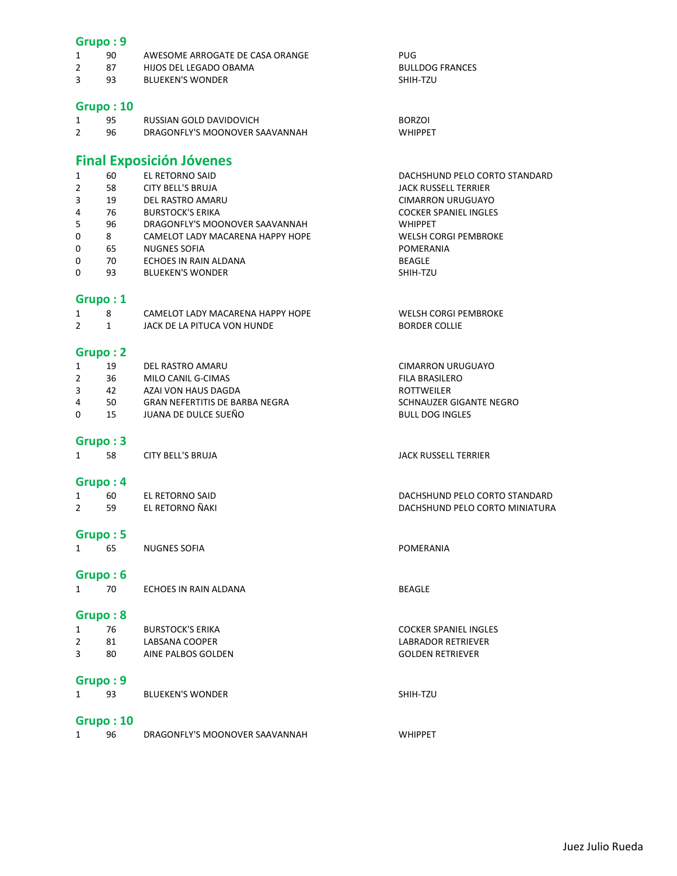#### Grupo : 9

|  | AWESOME ARROGATE DE CASA ORANGE | PUG |
|--|---------------------------------|-----|
|  | HIJOS DEL LEGADO ORAMA          |     |

2 87 HIJOS DEL LEGADO OBAMA BULLDOG FRANCES **BLUEKEN'S WONDER** 

#### Grupo : 10

| 95 | RUSSIAN GOLD DAVIDOVICH        | <b>BORZOI</b>  |
|----|--------------------------------|----------------|
| 96 | DRAGONFLY'S MOONOVER SAAVANNAH | <b>WHIPPFT</b> |

### Final Exposición Jóvenes

| 1              | 60 | EL RETORNO SAID                  | DACHSHUND PELO CORTO STANDARD |
|----------------|----|----------------------------------|-------------------------------|
| $\overline{2}$ | 58 | <b>CITY BELL'S BRUJA</b>         | JACK RUSSELL TERRIER          |
| 3              | 19 | DEL RASTRO AMARU                 | <b>CIMARRON URUGUAYO</b>      |
| 4              | 76 | <b>BURSTOCK'S ERIKA</b>          | <b>COCKER SPANIEL INGLES</b>  |
| 5              | 96 | DRAGONFLY'S MOONOVER SAAVANNAH   | <b>WHIPPET</b>                |
| 0              | 8  | CAMELOT LADY MACARENA HAPPY HOPE | <b>WELSH CORGI PEMBROKE</b>   |
| 0              | 65 | <b>NUGNES SOFIA</b>              | POMERANIA                     |
| 0              | 70 | ECHOES IN RAIN ALDANA            | <b>BEAGLE</b>                 |
|                |    |                                  |                               |

0 93 BLUEKEN'S WONDER SHIH-TZU

### Grupo : 1

|  | CAMELOT LADY MACARENA HAPPY HOPE | <b>WELSH CORGI PEMBROKE</b> |
|--|----------------------------------|-----------------------------|
|  | JACK DE LA PITUCA VON HUNDE      | <b>BORDER COLLIE</b>        |

#### Grupo : 2

|   | 19 | DEL RASTRO AMARU               | CIMARRON URUGUAYO       |
|---|----|--------------------------------|-------------------------|
|   | 36 | MILO CANIL G-CIMAS             | FILA BRASILERO          |
|   | 42 | AZAI VON HAUS DAGDA            | <b>ROTTWEILER</b>       |
| 4 | 50 | GRAN NEFERTITIS DE BARBA NEGRA | SCHNAUZER GIGANTE NEGRO |
|   |    |                                |                         |

JACK RUSSELL TERRIER

SHIH-TZU

WHIPPET

DACHSHUND PELO CORTO STANDARD DACHSHUND PELO CORTO MINIATURA

0 15 JUANA DE DULCE SUEÑO BULL DOG INGLES

### Grupo : 3

| 58 | CITY BELL'S BRUJA |
|----|-------------------|
|    |                   |

### Grupo : 4

| 60 | EL RETORNO SAID |
|----|-----------------|
| 59 | EL RETORNO ÑAKI |

# **Grupo : 5**<br>1 65

NUGNES SOFIA **1 65 NUGLES SOFIA** 

### Grupo : 6

|  | ECHOES IN RAIN ALDANA | BEAGLE |
|--|-----------------------|--------|

### Grupo : 8

| 76 | <b>BURSTOCK'S ERIKA</b> | <b>COCKER SPANIEL INGLES</b> |
|----|-------------------------|------------------------------|
| 81 | LABSANA COOPER          | LABRADOR RETRIEVER           |
| 80 | AINE PALBOS GOLDEN      | <b>GOLDEN RETRIEVER</b>      |
|    |                         |                              |

### Grupo : 9

| <b>BLUEKEN'S WONDER</b> |
|-------------------------|
|-------------------------|

### Grupo : 10

| DRAGONFLY'S MOONOVER SAAVANNAH |  |
|--------------------------------|--|
|--------------------------------|--|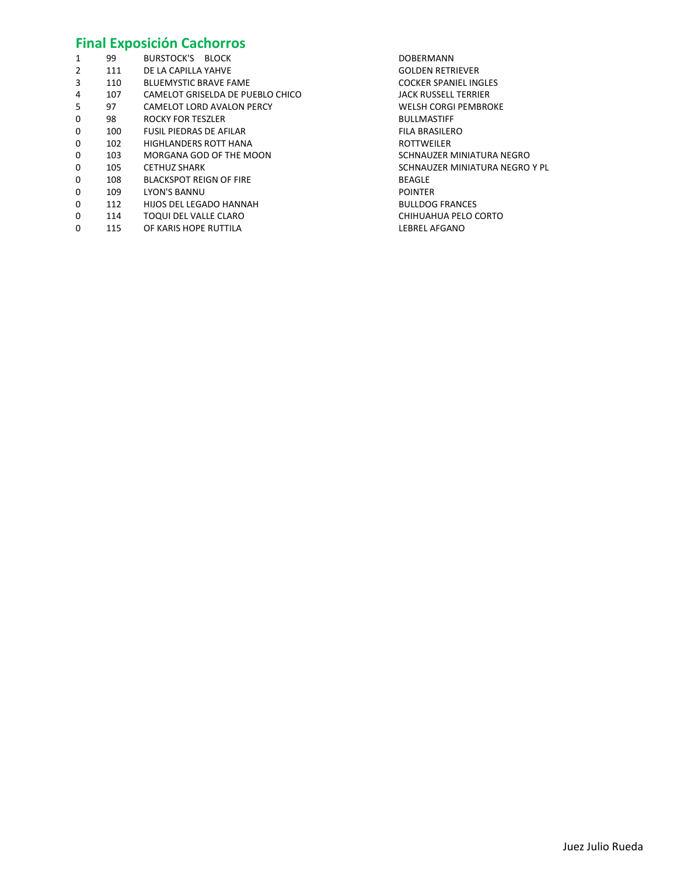### Final Exposición Cachorros

| 1 | 99  | BURSTOCK'S BLOCK                 | <b>DOBERMANN</b>               |
|---|-----|----------------------------------|--------------------------------|
| 2 | 111 | DE LA CAPILLA YAHVE              | <b>GOLDEN RETRIEVER</b>        |
| 3 | 110 | <b>BLUEMYSTIC BRAVE FAME</b>     | <b>COCKER SPANIEL INGLES</b>   |
| 4 | 107 | CAMELOT GRISELDA DE PUEBLO CHICO | <b>JACK RUSSELL TERRIER</b>    |
| 5 | 97  | CAMELOT LORD AVALON PERCY        | WELSH CORGI PEMBROKE           |
| 0 | 98  | <b>ROCKY FOR TESZLER</b>         | <b>BULLMASTIFF</b>             |
| 0 | 100 | <b>FUSIL PIEDRAS DE AFILAR</b>   | <b>FILA BRASILERO</b>          |
| 0 | 102 | <b>HIGHLANDERS ROTT HANA</b>     | <b>ROTTWEILER</b>              |
| 0 | 103 | MORGANA GOD OF THE MOON          | SCHNAUZER MINIATURA NEGRO      |
| 0 | 105 | <b>CETHUZ SHARK</b>              | SCHNAUZER MINIATURA NEGRO Y PL |
| 0 | 108 | <b>BLACKSPOT REIGN OF FIRE</b>   | <b>BEAGLE</b>                  |
| 0 | 109 | LYON'S BANNU                     | <b>POINTER</b>                 |
| 0 | 112 | HIJOS DEL LEGADO HANNAH          | <b>BULLDOG FRANCES</b>         |
| 0 | 114 | TOQUI DEL VALLE CLARO            | CHIHUAHUA PELO CORTO           |
| 0 | 115 | OF KARIS HOPE RUTTILA            | LEBREL AFGANO                  |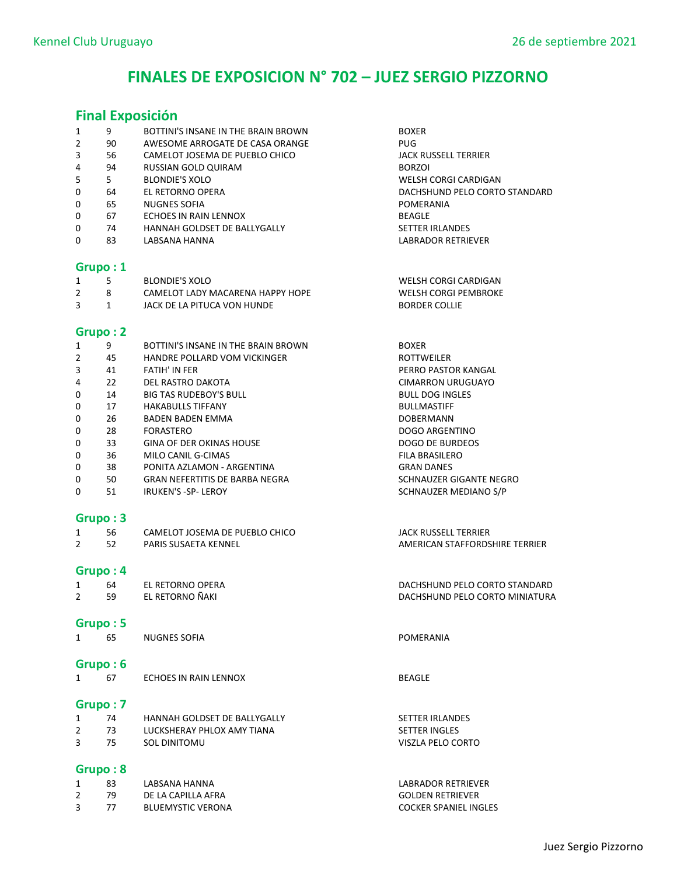# FINALES DE EXPOSICION N° 702 – JUEZ SERGIO PIZZORNO

### Final Exposición

| 1              | 9            | BOTTINI'S INSANE IN THE BRAIN BROWN | <b>BOXER</b>                   |
|----------------|--------------|-------------------------------------|--------------------------------|
| $\overline{2}$ | 90           | AWESOME ARROGATE DE CASA ORANGE     | <b>PUG</b>                     |
| 3              | 56           | CAMELOT JOSEMA DE PUEBLO CHICO      | <b>JACK RUSSELL TERRIER</b>    |
| 4              | 94           | RUSSIAN GOLD QUIRAM                 | <b>BORZOI</b>                  |
| 5              | 5            | <b>BLONDIE'S XOLO</b>               | WELSH CORGI CARDIGAN           |
| 0              | 64           | <b>EL RETORNO OPERA</b>             | DACHSHUND PELO CORTO STANDARD  |
| 0              | 65           | <b>NUGNES SOFIA</b>                 | POMERANIA                      |
| 0              | 67           | ECHOES IN RAIN LENNOX               | <b>BEAGLE</b>                  |
| 0              | 74           | HANNAH GOLDSET DE BALLYGALLY        | SETTER IRLANDES                |
| 0              | 83           | LABSANA HANNA                       | LABRADOR RETRIEVER             |
|                | Grupo: 1     |                                     |                                |
| 1              | 5            | <b>BLONDIE'S XOLO</b>               | WELSH CORGI CARDIGAN           |
| $\overline{2}$ | 8            | CAMELOT LADY MACARENA HAPPY HOPE    | <b>WELSH CORGI PEMBROKE</b>    |
| 3              | $\mathbf{1}$ | JACK DE LA PITUCA VON HUNDE         | <b>BORDER COLLIE</b>           |
|                | Grupo: 2     |                                     |                                |
| 1              | 9            | BOTTINI'S INSANE IN THE BRAIN BROWN | <b>BOXER</b>                   |
| $\overline{2}$ | 45           | <b>HANDRE POLLARD VOM VICKINGER</b> | <b>ROTTWEILER</b>              |
| 3              | 41           | <b>FATIH' IN FER</b>                | PERRO PASTOR KANGAL            |
| 4              | 22           | DEL RASTRO DAKOTA                   | <b>CIMARRON URUGUAYO</b>       |
| 0              | 14           | <b>BIG TAS RUDEBOY'S BULL</b>       | <b>BULL DOG INGLES</b>         |
| 0              | 17           | <b>HAKABULLS TIFFANY</b>            | <b>BULLMASTIFF</b>             |
| 0              | 26           | <b>BADEN BADEN EMMA</b>             | <b>DOBERMANN</b>               |
| 0              | 28           | FORASTERO                           | <b>DOGO ARGENTINO</b>          |
| 0              | 33           | <b>GINA OF DER OKINAS HOUSE</b>     | <b>DOGO DE BURDEOS</b>         |
| 0              | 36           | MILO CANIL G-CIMAS                  | <b>FILA BRASILERO</b>          |
| 0              | 38           | PONITA AZLAMON - ARGENTINA          | <b>GRAN DANES</b>              |
| 0              | 50           | GRAN NEFERTITIS DE BARBA NEGRA      | SCHNAUZER GIGANTE NEGRO        |
| 0              | 51           | <b>IRUKEN'S -SP- LEROY</b>          | SCHNAUZER MEDIANO S/P          |
|                | Grupo: 3     |                                     |                                |
| 1              | 56           | CAMELOT JOSEMA DE PUEBLO CHICO      | <b>JACK RUSSELL TERRIER</b>    |
| $\overline{2}$ | 52           | PARIS SUSAETA KENNEL                | AMERICAN STAFFORDSHIRE TERRIER |
|                |              |                                     |                                |
|                | Grupo: 4     |                                     |                                |
| 1              | 64           | <b>EL RETORNO OPERA</b>             | DACHSHUND PELO CORTO STANDARD  |
| $\overline{2}$ | 59           | EL RETORNO ÑAKI                     | DACHSHUND PELO CORTO MINIATURA |
|                | Grupo: 5     |                                     |                                |
| 1              | 65           | <b>NUGNES SOFIA</b>                 | POMERANIA                      |
|                | Grupo: 6     |                                     |                                |
| 1              | 67           | <b>ECHOES IN RAIN LENNOX</b>        | <b>BEAGLE</b>                  |
|                |              |                                     |                                |
|                | Grupo: 7     |                                     |                                |
| 1              | 74           | HANNAH GOLDSET DE BALLYGALLY        | <b>SETTER IRLANDES</b>         |
| $\overline{2}$ | 73           | LUCKSHERAY PHLOX AMY TIANA          | <b>SETTER INGLES</b>           |
| 3              | 75           | <b>SOL DINITOMU</b>                 | VISZLA PELO CORTO              |
|                | Grupo: 8     |                                     |                                |
| 1              | 83           | LABSANA HANNA                       | LABRADOR RETRIEVER             |
| $\overline{2}$ | 79           | DE LA CAPILLA AFRA                  | <b>GOLDEN RETRIEVER</b>        |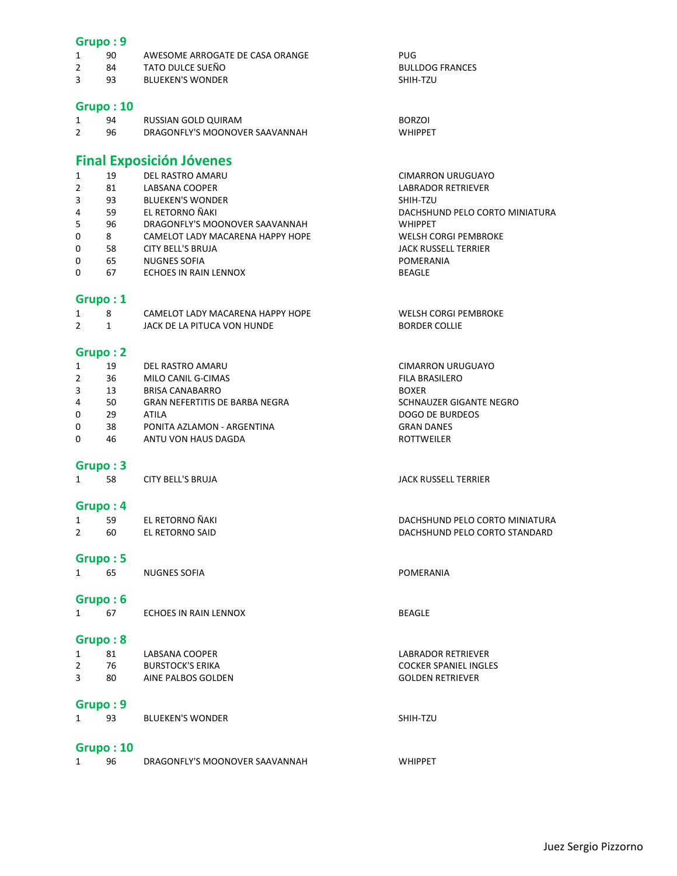### Grupo : 9

| 90 | AWESOME ARROGATE DE CASA ORANGE | PUG                    |
|----|---------------------------------|------------------------|
| 84 | TATO DULCE SUEÑO                | <b>BULLDOG FRANCES</b> |

3 93 BLUEKEN'S WONDER SHIH-TZU

### Grupo : 10

| 94 | RUSSIAN GOLD QUIRAM            | <b>BORZOI</b>  |
|----|--------------------------------|----------------|
| 96 | DRAGONFLY'S MOONOVER SAAVANNAH | <b>WHIPPFT</b> |

### Final Exposición Jóvenes

| 1              | 19 | DEL RASTRO AMARU                 | <b>CIMARRON URUGUAYO</b>       |
|----------------|----|----------------------------------|--------------------------------|
| $\overline{2}$ | 81 | LABSANA COOPER                   | <b>LABRADOR RETRIEVER</b>      |
| 3              | 93 | <b>BLUEKEN'S WONDER</b>          | SHIH-TZU                       |
| 4              | 59 | EL RETORNO ÑAKI                  | DACHSHUND PELO CORTO MINIATURA |
| 5              | 96 | DRAGONFLY'S MOONOVER SAAVANNAH   | <b>WHIPPET</b>                 |
| 0              | 8  | CAMELOT LADY MACARENA HAPPY HOPE | WELSH CORGI PEMBROKE           |
| 0              | 58 | CITY BELL'S BRUJA                | <b>JACK RUSSELL TERRIER</b>    |
| 0              | 65 | <b>NUGNES SOFIA</b>              | POMERANIA                      |
| 0              | 67 | ECHOES IN RAIN LENNOX            | <b>BEAGLE</b>                  |

#### Grupo : 1

|  | CAMELOT LADY MACARENA HAPPY HOPE | WELSH CORGI PEMBROKE |
|--|----------------------------------|----------------------|
|  | JACK DE LA PITUCA VON HUNDE      | <b>BORDER COLLIE</b> |

### Grupo : 2

|          | 19 | DEL RASTRO AMARU               | <b>CIMARRON URUGUAYO</b> |
|----------|----|--------------------------------|--------------------------|
| 2        | 36 | MILO CANIL G-CIMAS             | <b>FILA BRASILERO</b>    |
| 3        | 13 | <b>BRISA CANABARRO</b>         | <b>BOXER</b>             |
| 4        | 50 | GRAN NEFERTITIS DE BARBA NEGRA | SCHNAUZER GIGANTE NEGRO  |
| $\Omega$ | 29 | ATII A                         | DOGO DE BURDEOS          |
| $\Omega$ | 38 | PONITA AZLAMON - ARGENTINA     | <b>GRAN DANES</b>        |
| $\Omega$ | 46 | ANTU VON HAUS DAGDA            | <b>ROTTWEILER</b>        |

### Grupo : 3

1 58 CITY BELL'S BRUJA **CITY BELL'S BRUJA JACK RUSSELL TERRIER** 

### Grupo : 4

|    | EL RETORNO ÑAKI | DACHSHUND PELO CORTO MINIATURA |
|----|-----------------|--------------------------------|
| 60 | EL RETORNO SAID | DACHSHUND PELO CORTO STANDARD  |

#### Grupo : 5

1 65 NUGNES SOFIA **POMERANIA** 

#### Grupo : 6

1 67 ECHOES IN RAIN LENNOX BEAGLE

### Grupo : 8

| 80 | AINE PALBOS GOLDEN      | <b>GOLDEN RETRIEVER</b>      |
|----|-------------------------|------------------------------|
| 76 | <b>BURSTOCK'S ERIKA</b> | <b>COCKER SPANIEL INGLES</b> |
| 81 | LABSANA COOPER          | LABRADOR RETRIEVER           |

## Grupo : 9

| 93 | <b>BLUEKEN'S WONDER</b> | SHIH-TZU |
|----|-------------------------|----------|
|    |                         |          |

### Grupo : 10